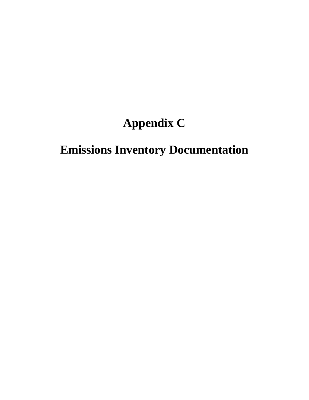# **Appendix C**

# **Emissions Inventory Documentation**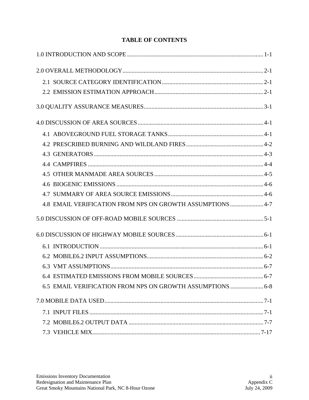| 4.8 EMAIL VERIFICATION FROM NPS ON GROWTH ASSUMPTIONS  4-7 |  |
|------------------------------------------------------------|--|
|                                                            |  |
|                                                            |  |
|                                                            |  |
|                                                            |  |
|                                                            |  |
|                                                            |  |
| 6.5 EMAIL VERIFICATION FROM NPS ON GROWTH ASSUMPTIONS  6-8 |  |
|                                                            |  |
|                                                            |  |
|                                                            |  |
|                                                            |  |

## **TABLE OF CONTENTS**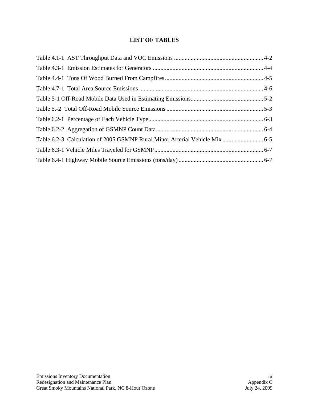## **LIST OF TABLES**

| Table 6.2-3 Calculation of 2005 GSMNP Rural Minor Arterial Vehicle Mix 6-5 |  |
|----------------------------------------------------------------------------|--|
|                                                                            |  |
|                                                                            |  |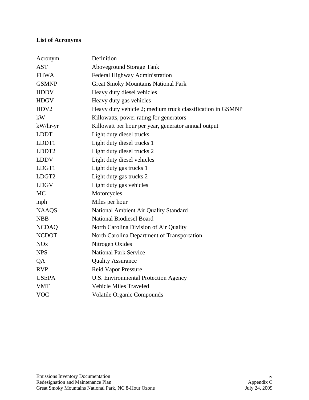# **List of Acronyms**

| Acronym           | Definition                                                 |
|-------------------|------------------------------------------------------------|
| <b>AST</b>        | <b>Aboveground Storage Tank</b>                            |
| <b>FHWA</b>       | Federal Highway Administration                             |
| <b>GSMNP</b>      | <b>Great Smoky Mountains National Park</b>                 |
| <b>HDDV</b>       | Heavy duty diesel vehicles                                 |
| <b>HDGV</b>       | Heavy duty gas vehicles                                    |
| HDV2              | Heavy duty vehicle 2; medium truck classification in GSMNP |
| kW                | Killowatts, power rating for generators                    |
| kW/hr-yr          | Killowatt per hour per year, generator annual output       |
| <b>LDDT</b>       | Light duty diesel trucks                                   |
| LDDT1             | Light duty diesel trucks 1                                 |
| LDDT <sub>2</sub> | Light duty diesel trucks 2                                 |
| <b>LDDV</b>       | Light duty diesel vehicles                                 |
| LDGT1             | Light duty gas trucks 1                                    |
| LDGT2             | Light duty gas trucks 2                                    |
| <b>LDGV</b>       | Light duty gas vehicles                                    |
| <b>MC</b>         | Motorcycles                                                |
| mph               | Miles per hour                                             |
| <b>NAAQS</b>      | National Ambient Air Quality Standard                      |
| <b>NBB</b>        | <b>National Biodiesel Board</b>                            |
| <b>NCDAQ</b>      | North Carolina Division of Air Quality                     |
| <b>NCDOT</b>      | North Carolina Department of Transportation                |
| NOx               | Nitrogen Oxides                                            |
| <b>NPS</b>        | <b>National Park Service</b>                               |
| QA                | <b>Quality Assurance</b>                                   |
| <b>RVP</b>        | <b>Reid Vapor Pressure</b>                                 |
| <b>USEPA</b>      | U.S. Environmental Protection Agency                       |
| <b>VMT</b>        | <b>Vehicle Miles Traveled</b>                              |
| <b>VOC</b>        | <b>Volatile Organic Compounds</b>                          |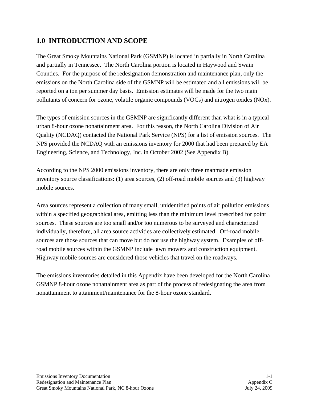# **1.0 INTRODUCTION AND SCOPE**

The Great Smoky Mountains National Park (GSMNP) is located in partially in North Carolina and partially in Tennessee. The North Carolina portion is located in Haywood and Swain Counties. For the purpose of the redesignation demonstration and maintenance plan, only the emissions on the North Carolina side of the GSMNP will be estimated and all emissions will be reported on a ton per summer day basis. Emission estimates will be made for the two main pollutants of concern for ozone, volatile organic compounds (VOCs) and nitrogen oxides (NOx).

The types of emission sources in the GSMNP are significantly different than what is in a typical urban 8-hour ozone nonattainment area. For this reason, the North Carolina Division of Air Quality (NCDAQ) contacted the National Park Service (NPS) for a list of emission sources. The NPS provided the NCDAQ with an emissions inventory for 2000 that had been prepared by EA Engineering, Science, and Technology, Inc. in October 2002 (See Appendix B).

According to the NPS 2000 emissions inventory, there are only three manmade emission inventory source classifications: (1) area sources, (2) off-road mobile sources and (3) highway mobile sources.

Area sources represent a collection of many small, unidentified points of air pollution emissions within a specified geographical area, emitting less than the minimum level prescribed for point sources. These sources are too small and/or too numerous to be surveyed and characterized individually, therefore, all area source activities are collectively estimated. Off-road mobile sources are those sources that can move but do not use the highway system. Examples of offroad mobile sources within the GSMNP include lawn mowers and construction equipment. Highway mobile sources are considered those vehicles that travel on the roadways.

The emissions inventories detailed in this Appendix have been developed for the North Carolina GSMNP 8-hour ozone nonattainment area as part of the process of redesignating the area from nonattainment to attainment/maintenance for the 8-hour ozone standard.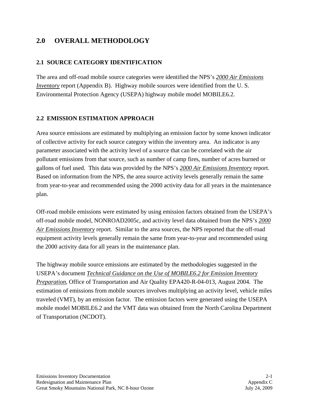# **2.0 OVERALL METHODOLOGY**

## **2.1 SOURCE CATEGORY IDENTIFICATION**

The area and off-road mobile source categories were identified the NPS's *2000 Air Emissions Inventory* report (Appendix B). Highway mobile sources were identified from the U. S. Environmental Protection Agency (USEPA) highway mobile model MOBILE6.2.

#### **2.2 EMISSION ESTIMATION APPROACH**

Area source emissions are estimated by multiplying an emission factor by some known indicator of collective activity for each source category within the inventory area. An indicator is any parameter associated with the activity level of a source that can be correlated with the air pollutant emissions from that source, such as number of camp fires, number of acres burned or gallons of fuel used. This data was provided by the NPS's *2000 Air Emissions Inventory* report. Based on information from the NPS, the area source activity levels generally remain the same from year-to-year and recommended using the 2000 activity data for all years in the maintenance plan.

Off-road mobile emissions were estimated by using emission factors obtained from the USEPA's off-road mobile model, NONROAD2005c, and activity level data obtained from the NPS's *2000 Air Emissions Inventory* report. Similar to the area sources, the NPS reported that the off-road equipment activity levels generally remain the same from year-to-year and recommended using the 2000 activity data for all years in the maintenance plan.

The highway mobile source emissions are estimated by the methodologies suggested in the USEPA's document *Technical Guidance on the Use of MOBILE6.2 for Emission Inventory Preparation*, Office of Transportation and Air Quality EPA420-R-04-013, August 2004. The estimation of emissions from mobile sources involves multiplying an activity level, vehicle miles traveled (VMT), by an emission factor. The emission factors were generated using the USEPA mobile model MOBILE6.2 and the VMT data was obtained from the North Carolina Department of Transportation (NCDOT).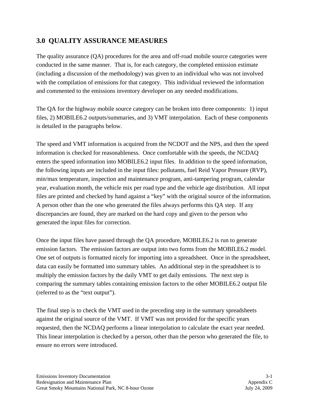# **3.0 QUALITY ASSURANCE MEASURES**

The quality assurance (QA) procedures for the area and off-road mobile source categories were conducted in the same manner. That is, for each category, the completed emission estimate (including a discussion of the methodology) was given to an individual who was not involved with the compilation of emissions for that category. This individual reviewed the information and commented to the emissions inventory developer on any needed modifications.

The QA for the highway mobile source category can be broken into three components: 1) input files, 2) MOBILE6.2 outputs/summaries, and 3) VMT interpolation. Each of these components is detailed in the paragraphs below.

The speed and VMT information is acquired from the NCDOT and the NPS, and then the speed information is checked for reasonableness. Once comfortable with the speeds, the NCDAQ enters the speed information into MOBILE6.2 input files. In addition to the speed information, the following inputs are included in the input files: pollutants, fuel Reid Vapor Pressure (RVP), min/max temperature, inspection and maintenance program, anti-tampering program, calendar year, evaluation month, the vehicle mix per road type and the vehicle age distribution. All input files are printed and checked by hand against a "key" with the original source of the information. A person other than the one who generated the files always performs this QA step. If any discrepancies are found, they are marked on the hard copy and given to the person who generated the input files for correction.

Once the input files have passed through the QA procedure, MOBILE6.2 is run to generate emission factors. The emission factors are output into two forms from the MOBILE6.2 model. One set of outputs is formatted nicely for importing into a spreadsheet. Once in the spreadsheet, data can easily be formatted into summary tables. An additional step in the spreadsheet is to multiply the emission factors by the daily VMT to get daily emissions. The next step is comparing the summary tables containing emission factors to the other MOBILE6.2 output file (referred to as the "text output").

The final step is to check the VMT used in the preceding step in the summary spreadsheets against the original source of the VMT. If VMT was not provided for the specific years requested, then the NCDAQ performs a linear interpolation to calculate the exact year needed. This linear interpolation is checked by a person, other than the person who generated the file, to ensure no errors were introduced.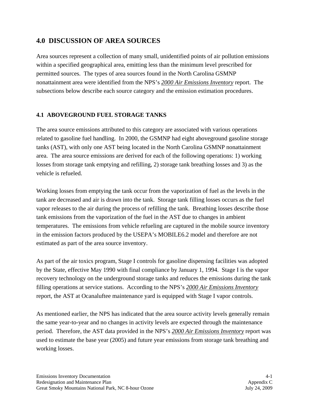# **4.0 DISCUSSION OF AREA SOURCES**

Area sources represent a collection of many small, unidentified points of air pollution emissions within a specified geographical area, emitting less than the minimum level prescribed for permitted sources. The types of area sources found in the North Carolina GSMNP nonattainment area were identified from the NPS's *2000 Air Emissions Inventory* report. The subsections below describe each source category and the emission estimation procedures.

## **4.1 ABOVEGROUND FUEL STORAGE TANKS**

The area source emissions attributed to this category are associated with various operations related to gasoline fuel handling. In 2000, the GSMNP had eight aboveground gasoline storage tanks (AST), with only one AST being located in the North Carolina GSMNP nonattainment area. The area source emissions are derived for each of the following operations: 1) working losses from storage tank emptying and refilling, 2) storage tank breathing losses and 3) as the vehicle is refueled.

Working losses from emptying the tank occur from the vaporization of fuel as the levels in the tank are decreased and air is drawn into the tank. Storage tank filling losses occurs as the fuel vapor releases to the air during the process of refilling the tank. Breathing losses describe those tank emissions from the vaporization of the fuel in the AST due to changes in ambient temperatures. The emissions from vehicle refueling are captured in the mobile source inventory in the emission factors produced by the USEPA's MOBILE6.2 model and therefore are not estimated as part of the area source inventory.

As part of the air toxics program, Stage I controls for gasoline dispensing facilities was adopted by the State, effective May 1990 with final compliance by January 1, 1994. Stage I is the vapor recovery technology on the underground storage tanks and reduces the emissions during the tank filling operations at service stations. According to the NPS's *2000 Air Emissions Inventory* report, the AST at Ocanaluftee maintenance yard is equipped with Stage I vapor controls.

As mentioned earlier, the NPS has indicated that the area source activity levels generally remain the same year-to-year and no changes in activity levels are expected through the maintenance period. Therefore, the AST data provided in the NPS's *2000 Air Emissions Inventory* report was used to estimate the base year (2005) and future year emissions from storage tank breathing and working losses.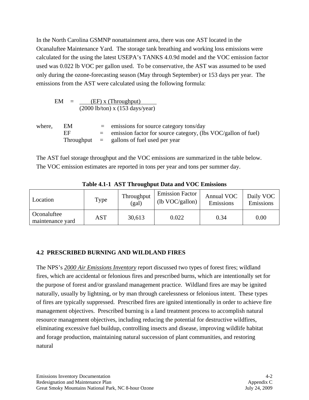In the North Carolina GSMNP nonattainment area, there was one AST located in the Ocanaluftee Maintenance Yard. The storage tank breathing and working loss emissions were calculated for the using the latest USEPA's TANKS 4.0.9d model and the VOC emission factor used was 0.022 lb VOC per gallon used. To be conservative, the AST was assumed to be used only during the ozone-forecasting season (May through September) or 153 days per year. The emissions from the AST were calculated using the following formula:

$$
EM = \frac{(EF) x (Throughout)}{(2000 lb/ton) x (153 days/year)}
$$
\nwhere, EM = emissions for source category tons/day  
\nEF = emission factor for source category, (lbs VOC/gallon of fuel)  
\nThroughout = gallons of fuel used per year

The AST fuel storage throughput and the VOC emissions are summarized in the table below. The VOC emission estimates are reported in tons per year and tons per summer day.

| Location                        | Type       | Throughput<br>(gal) | <b>Emission Factor</b><br>$(lb \text{ VOC/gallon})$ | Annual VOC<br>Emissions | Daily VOC<br>Emissions |
|---------------------------------|------------|---------------------|-----------------------------------------------------|-------------------------|------------------------|
| Oconaluftee<br>maintenance yard | <b>AST</b> | 30,613              | 0.022                                               | 0.34                    | 0.00                   |

**Table 4.1-1 AST Throughput Data and VOC Emissions** 

## **4.2 PRESCRIBED BURNING AND WILDLAND FIRES**

The NPS's *2000 Air Emissions Inventory* report discussed two types of forest fires; wildland fires, which are accidental or felonious fires and prescribed burns, which are intentionally set for the purpose of forest and/or grassland management practice. Wildland fires are may be ignited naturally, usually by lightning, or by man through carelessness or felonious intent. These types of fires are typically suppressed. Prescribed fires are ignited intentionally in order to achieve fire management objectives. Prescribed burning is a land treatment process to accomplish natural resource management objectives, including reducing the potential for destructive wildfires, eliminating excessive fuel buildup, controlling insects and disease, improving wildlife habitat and forage production, maintaining natural succession of plant communities, and restoring natural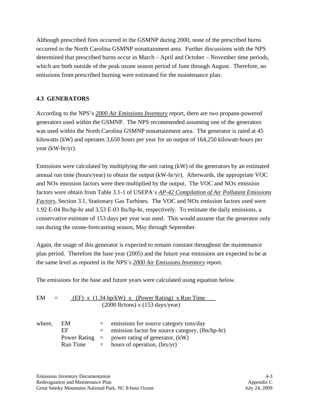Although prescribed fires occurred in the GSMNP during 2000, none of the prescribed burns occurred in the North Carolina GSMNP nonattainment area. Further discussions with the NPS determined that prescribed burns occur in March – April and October – November time periods, which are both outside of the peak ozone season period of June through August. Therefore, no emissions from prescribed burning were estimated for the maintenance plan.

### **4.3 GENERATORS**

According to the NPS's *2000 Air Emissions Inventory* report, there are two propane-powered generators used within the GSMNP. The NPS recommended assuming one of the generators was used within the North Carolina GSMNP nonattainment area. The generator is rated at 45 kilowatts (kW) and operates 3,650 hours per year for an output of 164,250 kilowatt-hours per year (kW-hr/yr).

Emissions were calculated by multiplying the unit rating (kW) of the generators by an estimated annual run time (hours/year) to obtain the output (kW-hr/yr). Afterwards, the appropriate VOC and NOx emission factors were then multiplied by the output. The VOC and NOx emission factors were obtain from Table 3.1-1 of USEPA's *AP-42 Compilation of Air Pollutant Emissions Factors*, Section 3.1, Stationary Gas Turbines. The VOC and NOx emission factors used were 1.92 E-04 lbs/hp-hr and 3.53 E-03 lbs/hp-hr, respectively. To estimate the daily emissions, a conservative estimate of 153 days per year was used. This would assume that the generator only ran during the ozone-forecasting season, May through September.

Again, the usage of this generator is expected to remain constant throughout the maintenance plan period. Therefore the base year (2005) and the future year emissions are expected to be at the same level as reported in the NPS's *2000 Air Emissions Inventory* report.

The emissions for the base and future years were calculated using equation below.

| EM | $=$ | $(EF)$ x $(1.34 \text{ hp}/kW)$ x (Power Rating) x Run Time |
|----|-----|-------------------------------------------------------------|
|    |     | $(2000 \text{ lb/tons}) \times (153 \text{ days/year})$     |

| where, EM |          | $=$ emissions for source category tons/day           |
|-----------|----------|------------------------------------------------------|
|           | FF       | $=$ emission factor for source category, (lbs/hp-hr) |
|           |          | Power Rating $=$ power rating of generator, $(kW)$   |
|           | Run Time | $=$ hours of operation, (hrs/yr)                     |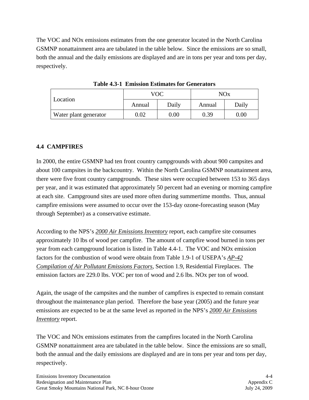The VOC and NOx emissions estimates from the one generator located in the North Carolina GSMNP nonattainment area are tabulated in the table below. Since the emissions are so small, both the annual and the daily emissions are displayed and are in tons per year and tons per day, respectively.

| Location              |            | VOC      | NOx    |          |  |
|-----------------------|------------|----------|--------|----------|--|
|                       | Annual     | Daily    | Annual | Daily    |  |
| Water plant generator | $\rm 0.02$ | $0.00\,$ | 0.39   | $0.00\,$ |  |

**Table 4.3-1 Emission Estimates for Generators** 

### **4.4 CAMPFIRES**

In 2000, the entire GSMNP had ten front country campgrounds with about 900 campsites and about 100 campsites in the backcountry. Within the North Carolina GSMNP nonattainment area, there were five front country campgrounds. These sites were occupied between 153 to 365 days per year, and it was estimated that approximately 50 percent had an evening or morning campfire at each site. Campground sites are used more often during summertime months. Thus, annual campfire emissions were assumed to occur over the 153-day ozone-forecasting season (May through September) as a conservative estimate.

According to the NPS's *2000 Air Emissions Inventory* report, each campfire site consumes approximately 10 lbs of wood per campfire. The amount of campfire wood burned in tons per year from each campground location is listed in Table 4.4-1. The VOC and NOx emission factors for the combustion of wood were obtain from Table 1.9-1 of USEPA's *AP-42 Compilation of Air Pollutant Emissions Factors*, Section 1.9, Residential Fireplaces. The emission factors are 229.0 lbs. VOC per ton of wood and 2.6 lbs. NOx per ton of wood.

Again, the usage of the campsites and the number of campfires is expected to remain constant throughout the maintenance plan period. Therefore the base year (2005) and the future year emissions are expected to be at the same level as reported in the NPS's *2000 Air Emissions Inventory* report.

The VOC and NOx emissions estimates from the campfires located in the North Carolina GSMNP nonattainment area are tabulated in the table below. Since the emissions are so small, both the annual and the daily emissions are displayed and are in tons per year and tons per day, respectively.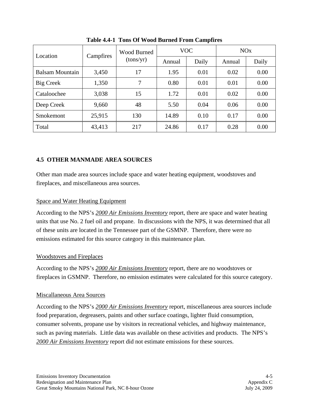| Location               |           | <b>Wood Burned</b><br>(tons/yr) |        | <b>VOC</b> | NOx    |       |
|------------------------|-----------|---------------------------------|--------|------------|--------|-------|
|                        | Campfires |                                 | Annual | Daily      | Annual | Daily |
| <b>Balsam Mountain</b> | 3,450     | 17                              | 1.95   | 0.01       | 0.02   | 0.00  |
| Big Creek              | 1,350     | 7                               | 0.80   | 0.01       | 0.01   | 0.00  |
| Cataloochee            | 3,038     | 15                              | 1.72   | 0.01       | 0.02   | 0.00  |
| Deep Creek             | 9,660     | 48                              | 5.50   | 0.04       | 0.06   | 0.00  |
| Smokemont              | 25,915    | 130                             | 14.89  | 0.10       | 0.17   | 0.00  |
| Total                  | 43,413    | 217                             | 24.86  | 0.17       | 0.28   | 0.00  |

**Table 4.4-1 Tons Of Wood Burned From Campfires** 

## **4.5 OTHER MANMADE AREA SOURCES**

Other man made area sources include space and water heating equipment, woodstoves and fireplaces, and miscellaneous area sources.

#### Space and Water Heating Equipment

According to the NPS's *2000 Air Emissions Inventory* report, there are space and water heating units that use No. 2 fuel oil and propane. In discussions with the NPS, it was determined that all of these units are located in the Tennessee part of the GSMNP. Therefore, there were no emissions estimated for this source category in this maintenance plan.

### Woodstoves and Fireplaces

According to the NPS's *2000 Air Emissions Inventory* report, there are no woodstoves or fireplaces in GSMNP. Therefore, no emission estimates were calculated for this source category.

#### Miscallaneous Area Sources

According to the NPS's *2000 Air Emissions Inventory* report, miscellaneous area sources include food preparation, degreasers, paints and other surface coatings, lighter fluid consumption, consumer solvents, propane use by visitors in recreational vehicles, and highway maintenance, such as paving materials. Little data was available on these activities and products. The NPS's *2000 Air Emissions Inventory* report did not estimate emissions for these sources.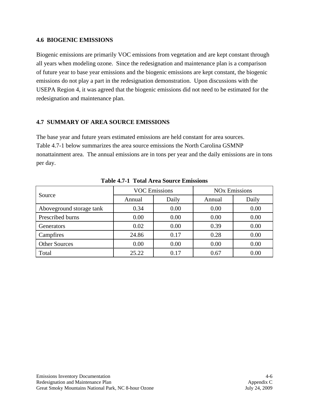#### **4.6 BIOGENIC EMISSIONS**

Biogenic emissions are primarily VOC emissions from vegetation and are kept constant through all years when modeling ozone. Since the redesignation and maintenance plan is a comparison of future year to base year emissions and the biogenic emissions are kept constant, the biogenic emissions do not play a part in the redesignation demonstration. Upon discussions with the USEPA Region 4, it was agreed that the biogenic emissions did not need to be estimated for the redesignation and maintenance plan.

#### **4.7 SUMMARY OF AREA SOURCE EMISSIONS**

The base year and future years estimated emissions are held constant for area sources. Table 4.7-1 below summarizes the area source emissions the North Carolina GSMNP nonattainment area. The annual emissions are in tons per year and the daily emissions are in tons per day.

|                          |        | <b>VOC Emissions</b> | <b>NO<sub>x</sub></b> Emissions |       |  |
|--------------------------|--------|----------------------|---------------------------------|-------|--|
| Source                   | Annual | Daily                | Annual                          | Daily |  |
| Aboveground storage tank | 0.34   | 0.00                 | 0.00                            | 0.00  |  |
| Prescribed burns         | 0.00   | 0.00                 | 0.00                            | 0.00  |  |
| Generators               | 0.02   | 0.00                 | 0.39                            | 0.00  |  |
| Campfires                | 24.86  | 0.17                 | 0.28                            | 0.00  |  |
| <b>Other Sources</b>     | 0.00   | 0.00                 | 0.00                            | 0.00  |  |
| Total                    | 25.22  | 0.17                 | 0.67                            | 0.00  |  |

**Table 4.7-1 Total Area Source Emissions**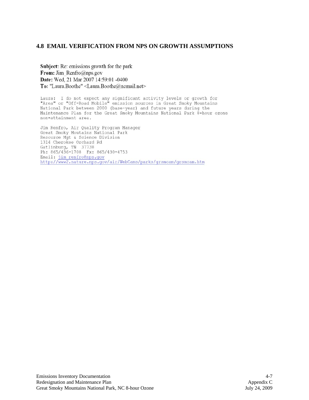#### **4.8 EMAIL VERIFICATION FROM NPS ON GROWTH ASSUMPTIONS**

Subject: Re: emissions growth for the park From: Jim Renfro@nps.gov Date: Wed, 21 Mar 2007 14:59:01 -0400 To: "Laura.Boothe" <Laura.Boothe@ncmail.net>

Laura: I do not expect any significant activity levels or growth for "Area" or "Off-Road Mobile" emission sources in Great Smoky Mountains National Park between 2000 (base-year) and future years during the Maintenance Plan for the Great Smoky Mountains National Park 8-hour ozone non-attainment area.

Jim Renfro, Air Quality Program Manager Great Smoky Moutains National Park Resource Mgt & Science Division 1314 Cherokee Orchard Rd Gatlinburg, TN 37738<br>Ph: 865/436-1708 Fx: 865/430-4753 Email: jim renfro@nps.gov<br>http://www2.nature.nps.gov/air/WebCams/parks/grsmcam/grsmcam.htm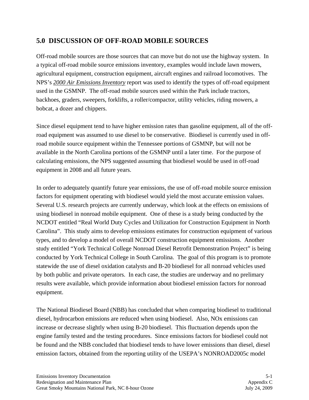# **5.0 DISCUSSION OF OFF-ROAD MOBILE SOURCES**

Off-road mobile sources are those sources that can move but do not use the highway system. In a typical off-road mobile source emissions inventory, examples would include lawn mowers, agricultural equipment, construction equipment, aircraft engines and railroad locomotives. The NPS's *2000 Air Emissions Inventory* report was used to identify the types of off-road equipment used in the GSMNP. The off-road mobile sources used within the Park include tractors, backhoes, graders, sweepers, forklifts, a roller/compactor, utility vehicles, riding mowers, a bobcat, a dozer and chippers.

Since diesel equipment tend to have higher emission rates than gasoline equipment, all of the offroad equipment was assumed to use diesel to be conservative. Biodiesel is currently used in offroad mobile source equipment within the Tennessee portions of GSMNP, but will not be available in the North Carolina portions of the GSMNP until a later time. For the purpose of calculating emissions, the NPS suggested assuming that biodiesel would be used in off-road equipment in 2008 and all future years.

In order to adequately quantify future year emissions, the use of off-road mobile source emission factors for equipment operating with biodiesel would yield the most accurate emission values. Several U.S. research projects are currently underway, which look at the effects on emissions of using biodiesel in nonroad mobile equipment. One of these is a study being conducted by the NCDOT entitled "Real World Duty Cycles and Utilization for Construction Equipment in North Carolina". This study aims to develop emissions estimates for construction equipment of various types, and to develop a model of overall NCDOT construction equipment emissions. Another study entitled "York Technical College Nonroad Diesel Retrofit Demonstration Project" is being conducted by York Technical College in South Carolina. The goal of this program is to promote statewide the use of diesel oxidation catalysts and B-20 biodiesel for all nonroad vehicles used by both public and private operators. In each case, the studies are underway and no prelimary results were available, which provide information about biodiesel emission factors for nonroad equipment.

The National Biodiesel Board (NBB) has concluded that when comparing biodiesel to traditional diesel, hydrocarbon emissions are reduced when using biodiesel. Also, NOx emissions can increase or decrease slightly when using B-20 biodiesel. This fluctuation depends upon the engine family tested and the testing procedures. Since emissions factors for biodiesel could not be found and the NBB concluded that biodiesel tends to have lower emissions than diesel, diesel emission factors, obtained from the reporting utility of the USEPA's NONROAD2005c model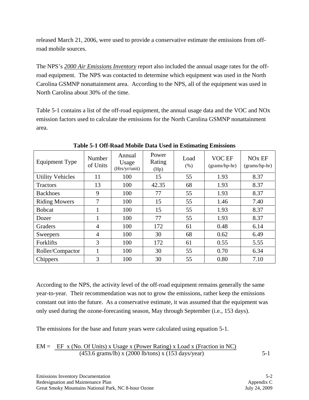released March 21, 2006, were used to provide a conservative estimate the emissions from offroad mobile sources.

The NPS's *2000 Air Emissions Inventory* report also included the annual usage rates for the offroad equipment. The NPS was contacted to determine which equipment was used in the North Carolina GSMNP nonattainment area. According to the NPS, all of the equipment was used in North Carolina about 30% of the time.

Table 5-1 contains a list of the off-road equipment, the annual usage data and the VOC and NOx emission factors used to calculate the emissions for the North Carolina GSMNP nonattainment area.

| <b>Equipment Type</b>   | Number<br>of Units | Annual<br>Usage<br>(Hrs/yr/unit) | Power<br>Rating<br>(Hp) | Load<br>(% ) | VOC EF<br>(grams/hp-hr) | NO <sub>x</sub> EF<br>$(grams/hp-hr)$ |
|-------------------------|--------------------|----------------------------------|-------------------------|--------------|-------------------------|---------------------------------------|
| <b>Utility Vehicles</b> | 11                 | 100                              | 15                      | 55           | 1.93                    | 8.37                                  |
| <b>Tractors</b>         | 13                 | 100                              | 42.35                   | 68           | 1.93                    | 8.37                                  |
| <b>Backhoes</b>         | 9                  | 100                              | 77                      | 55           | 1.93                    | 8.37                                  |
| <b>Riding Mowers</b>    | 7                  | 100                              | 15                      | 55           | 1.46                    | 7.40                                  |
| <b>Bobcat</b>           |                    | 100                              | 15                      | 55           | 1.93                    | 8.37                                  |
| Dozer                   |                    | 100                              | 77                      | 55           | 1.93                    | 8.37                                  |
| Graders                 | 4                  | 100                              | 172                     | 61           | 0.48                    | 6.14                                  |
| Sweepers                | $\overline{4}$     | 100                              | 30                      | 68           | 0.62                    | 6.49                                  |
| Forklifts               | 3                  | 100                              | 172                     | 61           | 0.55                    | 5.55                                  |
| Roller/Compactor        |                    | 100                              | 30                      | 55           | 0.70                    | 6.34                                  |
| Chippers                | 3                  | 100                              | 30                      | 55           | 0.80                    | 7.10                                  |

**Table 5-1 Off-Road Mobile Data Used in Estimating Emissions** 

According to the NPS, the activity level of the off-road equipment remains generally the same year-to-year. Their recommendation was not to grow the emissions, rather keep the emissions constant out into the future. As a conservative estimate, it was assumed that the equipment was only used during the ozone-forecasting season, May through September (i.e., 153 days).

The emissions for the base and future years were calculated using equation 5-1.

$$
EM = \frac{EF x (No. Of Units) x Usage x (Power Rating) x Load x (Fraction in NC)}{(453.6 grams/lb) x (2000 lb/tons) x (153 days/year)}
$$
 5-1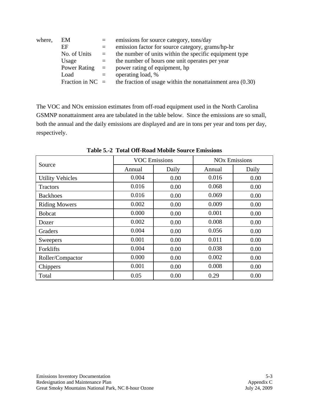| where, | EM                 | $=$      | emissions for source category, tons/day                      |
|--------|--------------------|----------|--------------------------------------------------------------|
|        | EF                 | $=$      | emission factor for source category, grams/hp-hr             |
|        | No. of Units       | $\equiv$ | the number of units within the specific equipment type       |
|        | Usage              | $=$      | the number of hours one unit operates per year               |
|        | Power Rating $=$   |          | power rating of equipment, hp                                |
|        | Load               | $=$      | operating load, %                                            |
|        | Fraction in $NC =$ |          | the fraction of usage within the nonattainment area $(0.30)$ |

The VOC and NOx emission estimates from off-road equipment used in the North Carolina GSMNP nonattainment area are tabulated in the table below. Since the emissions are so small, both the annual and the daily emissions are displayed and are in tons per year and tons per day, respectively.

|                         | <b>VOC Emissions</b> |       | <b>NO<sub>x</sub></b> Emissions |       |  |
|-------------------------|----------------------|-------|---------------------------------|-------|--|
| Source                  | Annual               | Daily | Annual                          | Daily |  |
| <b>Utility Vehicles</b> | 0.004                | 0.00  | 0.016                           | 0.00  |  |
| <b>Tractors</b>         | 0.016                | 0.00  | 0.068                           | 0.00  |  |
| <b>Backhoes</b>         | 0.016                | 0.00  | 0.069                           | 0.00  |  |
| <b>Riding Mowers</b>    | 0.002                | 0.00  | 0.009                           | 0.00  |  |
| <b>Bobcat</b>           | 0.000                | 0.00  | 0.001                           | 0.00  |  |
| Dozer                   | 0.002                | 0.00  | 0.008                           | 0.00  |  |
| Graders                 | 0.004                | 0.00  | 0.056                           | 0.00  |  |
| Sweepers                | 0.001                | 0.00  | 0.011                           | 0.00  |  |
| Forklifts               | 0.004                | 0.00  | 0.038                           | 0.00  |  |
| Roller/Compactor        | 0.000                | 0.00  | 0.002                           | 0.00  |  |
| Chippers                | 0.001                | 0.00  | 0.008                           | 0.00  |  |
| Total                   | 0.05                 | 0.00  | 0.29                            | 0.00  |  |

**Table 5.-2 Total Off-Road Mobile Source Emissions**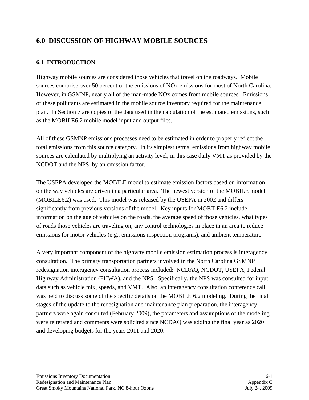# **6.0 DISCUSSION OF HIGHWAY MOBILE SOURCES**

## **6.1 INTRODUCTION**

Highway mobile sources are considered those vehicles that travel on the roadways. Mobile sources comprise over 50 percent of the emissions of NOx emissions for most of North Carolina. However, in GSMNP, nearly all of the man-made NOx comes from mobile sources. Emissions of these pollutants are estimated in the mobile source inventory required for the maintenance plan. In Section 7 are copies of the data used in the calculation of the estimated emissions, such as the MOBILE6.2 mobile model input and output files.

All of these GSMNP emissions processes need to be estimated in order to properly reflect the total emissions from this source category. In its simplest terms, emissions from highway mobile sources are calculated by multiplying an activity level, in this case daily VMT as provided by the NCDOT and the NPS, by an emission factor.

The USEPA developed the MOBILE model to estimate emission factors based on information on the way vehicles are driven in a particular area. The newest version of the MOBILE model (MOBILE6.2) was used. This model was released by the USEPA in 2002 and differs significantly from previous versions of the model. Key inputs for MOBILE6.2 include information on the age of vehicles on the roads, the average speed of those vehicles, what types of roads those vehicles are traveling on, any control technologies in place in an area to reduce emissions for motor vehicles (e.g., emissions inspection programs), and ambient temperature.

A very important component of the highway mobile emission estimation process is interagency consultation. The primary transportation partners involved in the North Carolina GSMNP redesignation interagency consultation process included: NCDAQ, NCDOT, USEPA, Federal Highway Administration (FHWA), and the NPS. Specifically, the NPS was consulted for input data such as vehicle mix, speeds, and VMT. Also, an interagency consultation conference call was held to discuss some of the specific details on the MOBILE 6.2 modeling. During the final stages of the update to the redesignation and maintenance plan preparation, the interagency partners were again consulted (February 2009), the parameters and assumptions of the modeling were reiterated and comments were solicited since NCDAQ was adding the final year as 2020 and developing budgets for the years 2011 and 2020.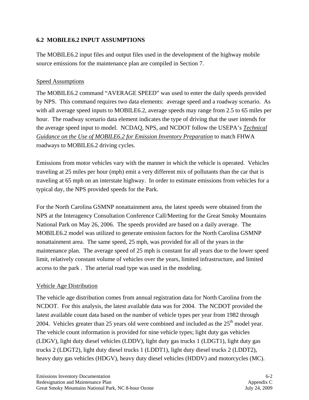## **6.2 MOBILE6.2 INPUT ASSUMPTIONS**

The MOBILE6.2 input files and output files used in the development of the highway mobile source emissions for the maintenance plan are compiled in Section 7.

#### Speed Assumptions

The MOBILE6.2 command "AVERAGE SPEED" was used to enter the daily speeds provided by NPS. This command requires two data elements: average speed and a roadway scenario. As with all average speed inputs to MOBILE6.2, average speeds may range from 2.5 to 65 miles per hour. The roadway scenario data element indicates the type of driving that the user intends for the average speed input to model. NCDAQ, NPS, and NCDOT follow the USEPA's *Technical Guidance on the Use of MOBILE6.2 for Emission Inventory Preparation* to match FHWA roadways to MOBILE6.2 driving cycles.

Emissions from motor vehicles vary with the manner in which the vehicle is operated. Vehicles traveling at 25 miles per hour (mph) emit a very different mix of pollutants than the car that is traveling at 65 mph on an interstate highway. In order to estimate emissions from vehicles for a typical day, the NPS provided speeds for the Park.

For the North Carolina GSMNP nonattainment area, the latest speeds were obtained from the NPS at the Interagency Consultation Conference Call/Meeting for the Great Smoky Mountains National Park on May 26, 2006. The speeds provided are based on a daily average. The MOBILE6.2 model was utilized to generate emission factors for the North Carolina GSMNP nonattainment area. The same speed, 25 mph, was provided for all of the years in the maintenance plan. The average speed of 25 mph is constant for all years due to the lower speed limit, relatively constant volume of vehicles over the years, limited infrastructure, and limited access to the park . The arterial road type was used in the modeling.

### Vehicle Age Distribution

The vehicle age distribution comes from annual registration data for North Carolina from the NCDOT. For this analysis, the latest available data was for 2004. The NCDOT provided the latest available count data based on the number of vehicle types per year from 1982 through 2004. Vehicles greater than 25 years old were combined and included as the  $25<sup>th</sup>$  model year. The vehicle count information is provided for nine vehicle types; light duty gas vehicles (LDGV), light duty diesel vehicles (LDDV), light duty gas trucks 1 (LDGT1), light duty gas trucks 2 (LDGT2), light duty diesel trucks 1 (LDDT1), light duty diesel trucks 2 (LDDT2), heavy duty gas vehicles (HDGV), heavy duty diesel vehicles (HDDV) and motorcycles (MC).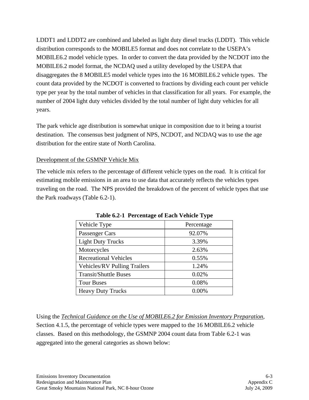LDDT1 and LDDT2 are combined and labeled as light duty diesel trucks (LDDT). This vehicle distribution corresponds to the MOBILE5 format and does not correlate to the USEPA's MOBILE6.2 model vehicle types. In order to convert the data provided by the NCDOT into the MOBILE6.2 model format, the NCDAQ used a utility developed by the USEPA that disaggregates the 8 MOBILE5 model vehicle types into the 16 MOBILE6.2 vehicle types. The count data provided by the NCDOT is converted to fractions by dividing each count per vehicle type per year by the total number of vehicles in that classification for all years. For example, the number of 2004 light duty vehicles divided by the total number of light duty vehicles for all years.

The park vehicle age distribution is somewhat unique in composition due to it being a tourist destination. The consensus best judgment of NPS, NCDOT, and NCDAQ was to use the age distribution for the entire state of North Carolina.

#### Development of the GSMNP Vehicle Mix

The vehicle mix refers to the percentage of different vehicle types on the road. It is critical for estimating mobile emissions in an area to use data that accurately reflects the vehicles types traveling on the road. The NPS provided the breakdown of the percent of vehicle types that use the Park roadways (Table 6.2-1).

| Vehicle Type                        | Percentage |
|-------------------------------------|------------|
| Passenger Cars                      | 92.07%     |
| <b>Light Duty Trucks</b>            | 3.39%      |
| Motorcycles                         | 2.63%      |
| <b>Recreational Vehicles</b>        | 0.55%      |
| <b>Vehicles/RV Pulling Trailers</b> | 1.24%      |
| <b>Transit/Shuttle Buses</b>        | 0.02%      |
| <b>Tour Buses</b>                   | 0.08%      |
| <b>Heavy Duty Trucks</b>            | 0.00%      |

**Table 6.2-1 Percentage of Each Vehicle Type** 

Using the *Technical Guidance on the Use of MOBILE6.2 for Emission Inventory Preparation*, Section 4.1.5, the percentage of vehicle types were mapped to the 16 MOBILE6.2 vehicle classes. Based on this methodology, the GSMNP 2004 count data from Table 6.2-1 was aggregated into the general categories as shown below: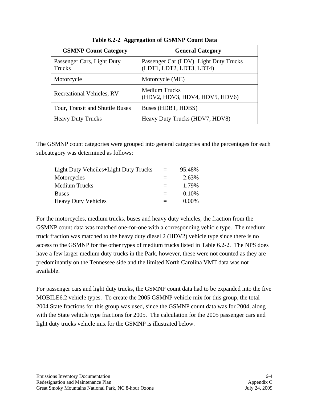| <b>GSMNP Count Category</b>          | <b>General Category</b>                                           |
|--------------------------------------|-------------------------------------------------------------------|
| Passenger Cars, Light Duty<br>Trucks | Passenger Car (LDV)+Light Duty Trucks<br>(LDT1, LDT2, LDT3, LDT4) |
| Motorcycle                           | Motorcycle (MC)                                                   |
| Recreational Vehicles, RV            | <b>Medium Trucks</b><br>(HDV2, HDV3, HDV4, HDV5, HDV6)            |
| Tour, Transit and Shuttle Buses      | Buses (HDBT, HDBS)                                                |
| <b>Heavy Duty Trucks</b>             | Heavy Duty Trucks (HDV7, HDV8)                                    |

**Table 6.2-2 Aggregation of GSMNP Count Data** 

The GSMNP count categories were grouped into general categories and the percentages for each subcategory was determined as follows:

| Light Duty Vehciles+Light Duty Trucks | $=$ | 95.48%   |
|---------------------------------------|-----|----------|
| Motorcycles                           | $=$ | 2.63%    |
| <b>Medium Trucks</b>                  | $=$ | 1.79%    |
| <b>Buses</b>                          |     | 0.10%    |
| <b>Heavy Duty Vehicles</b>            |     | $0.00\%$ |

For the motorcycles, medium trucks, buses and heavy duty vehicles, the fraction from the GSMNP count data was matched one-for-one with a corresponding vehicle type. The medium truck fraction was matched to the heavy duty diesel 2 (HDV2) vehicle type since there is no access to the GSMNP for the other types of medium trucks listed in Table 6.2-2. The NPS does have a few larger medium duty trucks in the Park, however, these were not counted as they are predominantly on the Tennessee side and the limited North Carolina VMT data was not available.

For passenger cars and light duty trucks, the GSMNP count data had to be expanded into the five MOBILE6.2 vehicle types. To create the 2005 GSMNP vehicle mix for this group, the total 2004 State fractions for this group was used, since the GSMNP count data was for 2004, along with the State vehicle type fractions for 2005. The calculation for the 2005 passenger cars and light duty trucks vehicle mix for the GSMNP is illustrated below.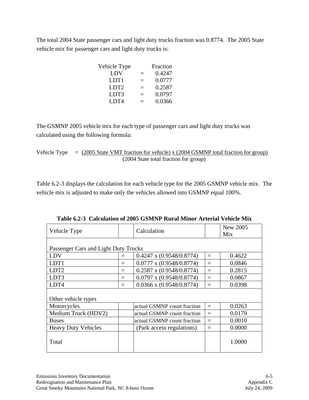The total 2004 State passenger cars and light duty trucks fraction was 0.8774. The 2005 State vehicle mix for passenger cars and light duty trucks is:

| Vehicle Type     |          | Fraction |
|------------------|----------|----------|
| LDV              | $\equiv$ | 0.4247   |
| LDT1             | =        | 0.0777   |
| LDT <sub>2</sub> | =        | 0.2587   |
| LDT3             |          | 0.0797   |
| LDT4             |          | 0.0366   |

The GSMNP 2005 vehicle mix for each type of passenger cars and light duty trucks was calculated using the following formula:

Vehicle Type  $=$  (2005 State VMT fraction for vehicle) x (2004 GSMNP total fraction for group) (2004 State total fraction for group)

Table 6.2-3 displays the calculation for each vehicle type for the 2005 GSMNP vehicle mix. The vehicle mix is adjusted to make only the vehicles allowed into GSMNP equal 100%.

| Vehicle Type                         |     | Calculation                     |     | New 2005<br>Mix |
|--------------------------------------|-----|---------------------------------|-----|-----------------|
|                                      |     |                                 |     |                 |
| Passenger Cars and Light Duty Trucks |     |                                 |     |                 |
| LDV                                  | $=$ | $0.4247 \times (0.9548/0.8774)$ | $=$ | 0.4622          |
| LDT1                                 | $=$ | $0.0777 \times (0.9548/0.8774)$ | $=$ | 0.0846          |
| LDT <sub>2</sub>                     | $=$ | $0.2587 \times (0.9548/0.8774)$ | $=$ | 0.2815          |
| LDT3                                 | $=$ | $0.0797$ x $(0.9548/0.8774)$    | $=$ | 0.0867          |
| LDT4                                 | $=$ | $0.0366$ x $(0.9548/0.8774)$    | $=$ | 0.0398          |
|                                      |     |                                 |     |                 |
| Other vehicle types                  |     |                                 |     |                 |
| Motorcycles                          |     | actual GSMNP count fraction     | $=$ | 0.0263          |
| Medium Truck (HDV2)                  |     | actual GSMNP count fraction     | $=$ | 0.0179          |
| <b>Buses</b>                         |     | actual GSMNP count fraction     | $=$ | 0.0010          |
| <b>Heavy Duty Vehicles</b>           |     | (Park access regulations)       | $=$ | 0.0000          |
| Total                                |     |                                 |     | 1.0000          |

**Table 6.2-3 Calculation of 2005 GSMNP Rural Minor Arterial Vehicle Mix**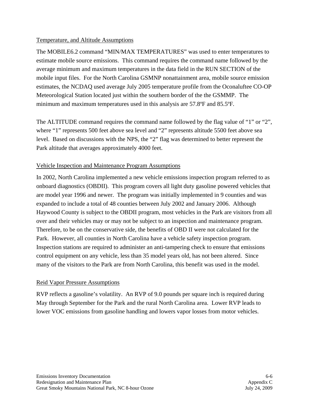#### Temperature, and Altitude Assumptions

The MOBILE6.2 command "MIN/MAX TEMPERATURES" was used to enter temperatures to estimate mobile source emissions. This command requires the command name followed by the average minimum and maximum temperatures in the data field in the RUN SECTION of the mobile input files. For the North Carolina GSMNP nonattainment area, mobile source emission estimates, the NCDAQ used average July 2005 temperature profile from the Oconaluftee CO-OP Meteorological Station located just within the southern border of the the GSMMP. The minimum and maximum temperatures used in this analysis are 57.8ºF and 85.5ºF*.* 

The ALTITUDE command requires the command name followed by the flag value of "1" or "2", where "1" represents 500 feet above sea level and "2" represents altitude 5500 feet above sea level. Based on discussions with the NPS, the "2" flag was determined to better represent the Park altitude that averages approximately 4000 feet.

#### Vehicle Inspection and Maintenance Program Assumptions

In 2002, North Carolina implemented a new vehicle emissions inspection program referred to as onboard diagnostics (OBDII). This program covers all light duty gasoline powered vehicles that are model year 1996 and newer. The program was initially implemented in 9 counties and was expanded to include a total of 48 counties between July 2002 and January 2006. Although Haywood County is subject to the OBDII program, most vehicles in the Park are visitors from all over and their vehicles may or may not be subject to an inspection and maintenance program. Therefore, to be on the conservative side, the benefits of OBD II were not calculated for the Park. However, all counties in North Carolina have a vehicle safety inspection program. Inspection stations are required to administer an anti-tampering check to ensure that emissions control equipment on any vehicle, less than 35 model years old, has not been altered. Since many of the visitors to the Park are from North Carolina, this benefit was used in the model.

#### Reid Vapor Pressure Assumptions

RVP reflects a gasoline's volatility. An RVP of 9.0 pounds per square inch is required during May through September for the Park and the rural North Carolina area. Lower RVP leads to lower VOC emissions from gasoline handling and lowers vapor losses from motor vehicles.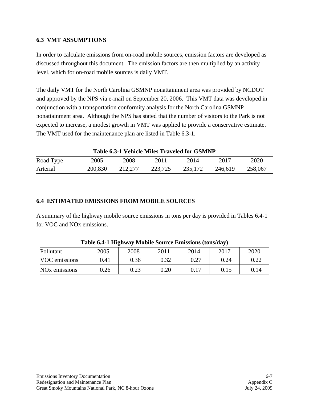#### **6.3 VMT ASSUMPTIONS**

In order to calculate emissions from on-road mobile sources, emission factors are developed as discussed throughout this document. The emission factors are then multiplied by an activity level, which for on-road mobile sources is daily VMT.

The daily VMT for the North Carolina GSMNP nonattainment area was provided by NCDOT and approved by the NPS via e-mail on September 20, 2006. This VMT data was developed in conjunction with a transportation conformity analysis for the North Carolina GSMNP nonattainment area. Although the NPS has stated that the number of visitors to the Park is not expected to increase, a modest growth in VMT was applied to provide a conservative estimate. The VMT used for the maintenance plan are listed in Table 6.3-1.

| Table 0.3-1 Vehicle Milles Traveled for Goivern |         |      |         |         |           |         |  |  |  |  |
|-------------------------------------------------|---------|------|---------|---------|-----------|---------|--|--|--|--|
| Road Type                                       | 2005    | 2008 | 2011    | 2014    | $201^{-}$ | 2020    |  |  |  |  |
| Arterial                                        | 200,830 |      | 223,725 | 235,172 | 246,619   | 258,067 |  |  |  |  |

**Table 6.3-1 Vehicle Miles Traveled for GSMNP** 

### **6.4 ESTIMATED EMISSIONS FROM MOBILE SOURCES**

A summary of the highway mobile source emissions in tons per day is provided in Tables 6.4-1 for VOC and NOx emissions.

| Pollutant                 | 2005 | 2008 | 2011     | 2014 | 2017 | 2020 |
|---------------------------|------|------|----------|------|------|------|
| VOC emissions             | 0.41 | 0.36 | 0.32     | 0.27 | 0.24 |      |
| NO <sub>x</sub> emissions | 0.26 | 0.23 | $0.20\,$ | 0.17 | 0.15 |      |

**Table 6.4-1 Highway Mobile Source Emissions (tons/day)**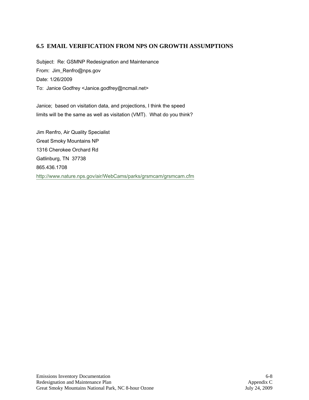#### **6.5 EMAIL VERIFICATION FROM NPS ON GROWTH ASSUMPTIONS**

Subject: Re: GSMNP Redesignation and Maintenance From: Jim\_Renfro@nps.gov Date: 1/26/2009 To: Janice Godfrey <Janice.godfrey@ncmail.net>

Janice; based on visitation data, and projections, I think the speed limits will be the same as well as visitation (VMT). What do you think?

Jim Renfro, Air Quality Specialist Great Smoky Mountains NP 1316 Cherokee Orchard Rd Gatlinburg, TN 37738 865.436.1708 http://www.nature.nps.gov/air/WebCams/parks/grsmcam/grsmcam.cfm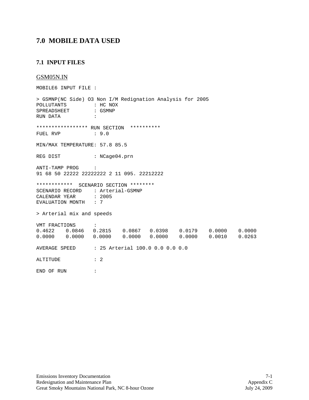## **7.0 MOBILE DATA USED**

#### **7.1 INPUT FILES**

#### GSM05N.IN

MOBILE6 INPUT FILE : > GSMNP(NC Side) O3 Non I/M Redignation Analysis for 2005 POLLUTANTS : HC NOX<br>SPREADSHEET : GSMNP SPREADSHEET RUN DATA : \*\*\*\*\*\*\*\*\*\*\*\*\*\*\*\*\* RUN SECTION \*\*\*\*\*\*\*\*\*\* FUEL RVP : 9.0 MIN/MAX TEMPERATURE: 57.8 85.5 REG DIST : NCage04.prn ANTI-TAMP PROG : 91 68 50 22222 22222222 2 11 095. 22212222 \*\*\*\*\*\*\*\*\*\*\*\* SCENARIO SECTION \*\*\*\*\*\*\*\* SCENARIO RECORD : Arterial-GSMNP CALENDAR YEAR : 2005 EVALUATION MONTH : 7 > Arterial mix and speeds VMT FRACTIONS :<br>0.4622 0.0846 0. 0.4622 0.0846 0.2815 0.0867 0.0398 0.0179 0.0000 0.0000  $0.0000$  0.0000 AVERAGE SPEED : 25 Arterial 100.0 0.0 0.0 0.0 ALTITUDE : 2 END OF RUN :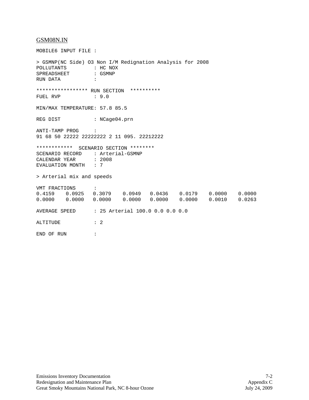#### GSM08N.IN

MOBILE6 INPUT FILE : > GSMNP(NC Side) O3 Non I/M Redignation Analysis for 2008 POLLUTANTS : HC NOX<br>SPREADSHEET : GSMNP SPREADSHEET RUN DATA : \*\*\*\*\*\*\*\*\*\*\*\*\*\*\*\*\* RUN SECTION \*\*\*\*\*\*\*\*\*\* FUEL RVP : 9.0 MIN/MAX TEMPERATURE: 57.8 85.5 REG DIST : NCage04.prn ANTI-TAMP PROG : 91 68 50 22222 22222222 2 11 095. 22212222 \*\*\*\*\*\*\*\*\*\*\*\* SCENARIO SECTION \*\*\*\*\*\*\*\* SCENARIO RECORD : Arterial-GSMNP<br>CALENDAR YEAR : 2008 CALENDAR YEAR : 2008<br>EVALUATION MONTH : 7 EVALUATION MONTH > Arterial mix and speeds VMT FRACTIONS : 0.4159 0.0925 0.3079 0.0949 0.0436 0.0179 0.0000 0.0000 0.0000 0.0000 AVERAGE SPEED : 25 Arterial 100.0 0.0 0.0 0.0 ALTITUDE : 2 END OF RUN :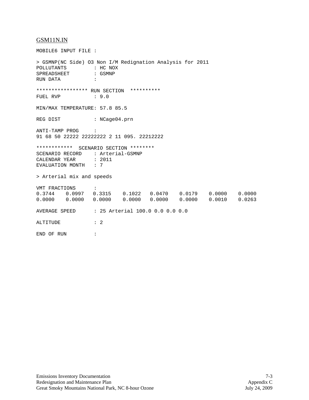#### GSM11N.IN

MOBILE6 INPUT FILE : > GSMNP(NC Side) O3 Non I/M Redignation Analysis for 2011 POLLUTANTS : HC NOX<br>SPREADSHEET : GSMNP SPREADSHEET RUN DATA : \*\*\*\*\*\*\*\*\*\*\*\*\*\*\*\*\* RUN SECTION \*\*\*\*\*\*\*\*\*\* FUEL RVP : 9.0 MIN/MAX TEMPERATURE: 57.8 85.5 REG DIST : NCage04.prn ANTI-TAMP PROG : 91 68 50 22222 22222222 2 11 095. 22212222 \*\*\*\*\*\*\*\*\*\*\*\* SCENARIO SECTION \*\*\*\*\*\*\*\* SCENARIO RECORD : Arterial-GSMNP<br>CALENDAR YEAR : 2011 CALENDAR YEAR : 2011<br>EVALUATION MONTH : 7 EVALUATION MONTH > Arterial mix and speeds VMT FRACTIONS : 0.3744 0.0997 0.3315 0.1022 0.0470 0.0179 0.0000 0.0000 0.0000 0.0000 0.0000 0.0000 0.0000 0.0000 0.0010 0.0263 AVERAGE SPEED : 25 Arterial 100.0 0.0 0.0 0.0 ALTITUDE : 2 END OF RUN :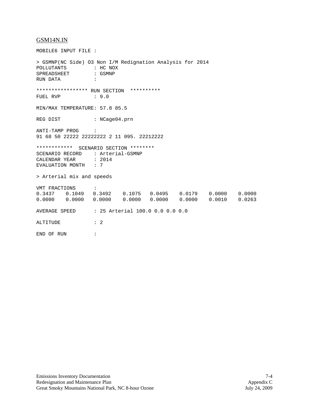#### GSM14N.IN

MOBILE6 INPUT FILE : > GSMNP(NC Side) O3 Non I/M Redignation Analysis for 2014 POLLUTANTS : HC NOX<br>SPREADSHEET : GSMNP SPREADSHEET RUN DATA : \*\*\*\*\*\*\*\*\*\*\*\*\*\*\*\*\* RUN SECTION \*\*\*\*\*\*\*\*\*\* FUEL RVP : 9.0 MIN/MAX TEMPERATURE: 57.8 85.5 REG DIST : NCage04.prn ANTI-TAMP PROG : 91 68 50 22222 22222222 2 11 095. 22212222 \*\*\*\*\*\*\*\*\*\*\*\* SCENARIO SECTION \*\*\*\*\*\*\*\* SCENARIO RECORD : Arterial-GSMNP<br>CALENDAR YEAR : 2014 CALENDAR YEAR : 2014<br>EVALUATION MONTH : 7 EVALUATION MONTH > Arterial mix and speeds VMT FRACTIONS : 0.3437 0.1049 0.3492 0.1075 0.0495 0.0179 0.0000 0.0000 0.0000 0.0000 AVERAGE SPEED : 25 Arterial 100.0 0.0 0.0 0.0 ALTITUDE : 2 END OF RUN :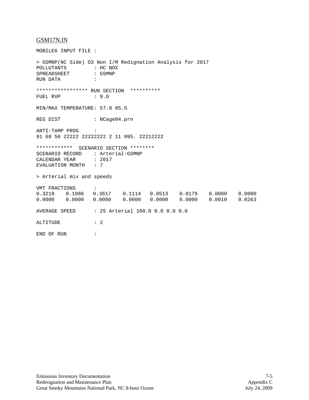#### GSM17N.IN

MOBILE6 INPUT FILE : > GSMNP(NC Side) O3 Non I/M Redignation Analysis for 2017 POLLUTANTS : HC NOX<br>SPREADSHEET : GSMNP SPREADSHEET RUN DATA : \*\*\*\*\*\*\*\*\*\*\*\*\*\*\*\*\* RUN SECTION \*\*\*\*\*\*\*\*\*\* FUEL RVP : 9.0 MIN/MAX TEMPERATURE: 57.8 85.5 REG DIST : NCage04.prn ANTI-TAMP PROG : 91 68 50 22222 22222222 2 11 095. 22212222 \*\*\*\*\*\*\*\*\*\*\*\* SCENARIO SECTION \*\*\*\*\*\*\*\* SCENARIO RECORD : Arterial-GSMNP<br>CALENDAR YEAR : 2017 CALENDAR YEAR : 2<br>EVALUATION MONTH : 7 EVALUATION MONTH > Arterial mix and speeds VMT FRACTIONS : 0.3218 0.1086 0.3617 0.1114 0.0513 0.0179 0.0000 0.0000 0.0000 0.0000 0.0000 0.0000 0.0000 0.0010 AVERAGE SPEED : 25 Arterial 100.0 0.0 0.0 0.0 ALTITUDE : 2 END OF RUN :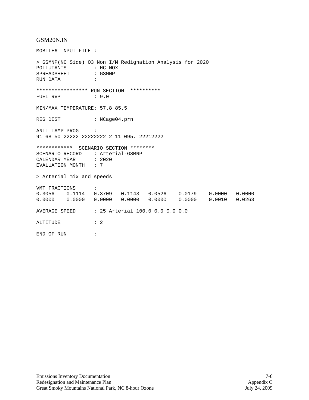#### GSM20N.IN

MOBILE6 INPUT FILE : > GSMNP(NC Side) O3 Non I/M Redignation Analysis for 2020 POLLUTANTS : HC NOX<br>SPREADSHEET : GSMNP SPREADSHEET RUN DATA : \*\*\*\*\*\*\*\*\*\*\*\*\*\*\*\*\* RUN SECTION \*\*\*\*\*\*\*\*\*\* FUEL RVP : 9.0 MIN/MAX TEMPERATURE: 57.8 85.5 REG DIST : NCage04.prn ANTI-TAMP PROG : 91 68 50 22222 22222222 2 11 095. 22212222 \*\*\*\*\*\*\*\*\*\*\*\* SCENARIO SECTION \*\*\*\*\*\*\*\* SCENARIO RECORD : Arterial-GSMNP<br>CALENDAR YEAR : 2020 CALENDAR YEAR : 20<br>EVALUATION MONTH : 7 EVALUATION MONTH > Arterial mix and speeds VMT FRACTIONS : 0.3056 0.1114 0.3709 0.1143 0.0526 0.0179 0.0000 0.0000 0.0000 0.0000 0.0000 0.0000 0.0000 0.0000 0.0010 0.0263 AVERAGE SPEED : 25 Arterial 100.0 0.0 0.0 0.0 ALTITUDE : 2 END OF RUN :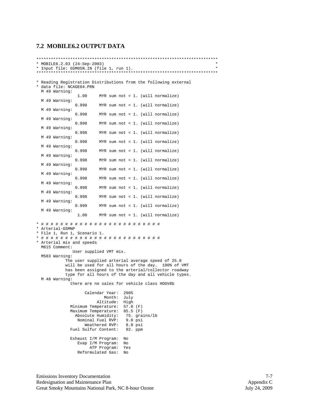## **7.2 MOBILE6.2 OUTPUT DATA**

|                                                                                                                                                                                                                                                                                      |  |                                           | * MOBILE6.2.03 (24-Sep-2003)                                   | * Input file: GSM05N.IN (file 1, run 1).                                                                                                                                                                              | $\star$ |  |  |  |  |
|--------------------------------------------------------------------------------------------------------------------------------------------------------------------------------------------------------------------------------------------------------------------------------------|--|-------------------------------------------|----------------------------------------------------------------|-----------------------------------------------------------------------------------------------------------------------------------------------------------------------------------------------------------------------|---------|--|--|--|--|
|                                                                                                                                                                                                                                                                                      |  | * data file: NCAGE04.PRN<br>M 49 Warning: |                                                                | * Reading Registration Distributions from the following external                                                                                                                                                      |         |  |  |  |  |
|                                                                                                                                                                                                                                                                                      |  | M 49 Warning:                             | 1.00                                                           | MYR sum not = $1.$ (will normalize)                                                                                                                                                                                   |         |  |  |  |  |
|                                                                                                                                                                                                                                                                                      |  | M 49 Warning:                             | 0.998                                                          | MYR sum not = $1.$ (will normalize)                                                                                                                                                                                   |         |  |  |  |  |
|                                                                                                                                                                                                                                                                                      |  | M 49 Warning:                             | 0.998                                                          | MYR sum not = $1.$ (will normalize)                                                                                                                                                                                   |         |  |  |  |  |
|                                                                                                                                                                                                                                                                                      |  | M 49 Warning:                             | 0.998                                                          | MYR sum not = $1.$ (will normalize)                                                                                                                                                                                   |         |  |  |  |  |
|                                                                                                                                                                                                                                                                                      |  | M 49 Warning:                             | 0.998                                                          | MYR sum not = $1.$ (will normalize)                                                                                                                                                                                   |         |  |  |  |  |
|                                                                                                                                                                                                                                                                                      |  | M 49 Warning:                             | 0.998                                                          | MYR sum not = $1.$ (will normalize)                                                                                                                                                                                   |         |  |  |  |  |
|                                                                                                                                                                                                                                                                                      |  | M 49 Warning:                             | 0.998                                                          | MYR sum not = $1.$ (will normalize)                                                                                                                                                                                   |         |  |  |  |  |
|                                                                                                                                                                                                                                                                                      |  | M 49 Warning:                             | 0.998<br>0.998                                                 | MYR sum not = $1.$ (will normalize)<br>MYR sum not = $1.$ (will normalize)                                                                                                                                            |         |  |  |  |  |
|                                                                                                                                                                                                                                                                                      |  | M 49 Warning:                             | 0.998                                                          | MYR sum not = $1.$ (will normalize)                                                                                                                                                                                   |         |  |  |  |  |
|                                                                                                                                                                                                                                                                                      |  | M 49 Warning:                             | 0.998                                                          | MYR sum not = $1.$ (will normalize)                                                                                                                                                                                   |         |  |  |  |  |
|                                                                                                                                                                                                                                                                                      |  | M 49 Warning:                             | 0.998                                                          | MYR sum not = $1.$ (will normalize)                                                                                                                                                                                   |         |  |  |  |  |
|                                                                                                                                                                                                                                                                                      |  | M 49 Warning:                             | 0.999                                                          | MYR sum not = $1.$ (will normalize)                                                                                                                                                                                   |         |  |  |  |  |
|                                                                                                                                                                                                                                                                                      |  | M 49 Warning:                             | 1.00                                                           | MYR sum not = $1.$ (will normalize)                                                                                                                                                                                   |         |  |  |  |  |
|                                                                                                                                                                                                                                                                                      |  | * Arterial-GSMNP                          | * File 1, Run 1, Scenario 1.                                   |                                                                                                                                                                                                                       |         |  |  |  |  |
|                                                                                                                                                                                                                                                                                      |  | M615 Comment:                             | * Arterial mix and speeds                                      |                                                                                                                                                                                                                       |         |  |  |  |  |
|                                                                                                                                                                                                                                                                                      |  | M583 Warning:                             |                                                                | User supplied VMT mix.                                                                                                                                                                                                |         |  |  |  |  |
|                                                                                                                                                                                                                                                                                      |  | M 48 Warning:                             |                                                                | The user supplied arterial average speed of 25.0<br>will be used for all hours of the day. 100% of VMT<br>has been assigned to the arterial/collector roadway<br>type for all hours of the day and all vehicle types. |         |  |  |  |  |
|                                                                                                                                                                                                                                                                                      |  |                                           |                                                                | there are no sales for vehicle class HDGV8b                                                                                                                                                                           |         |  |  |  |  |
| Calendar Year:<br>2005<br>Month:<br>July<br>Altitude:<br>High<br>Minimum Temperature:<br>$57.8$ (F)<br>Maximum Temperature:<br>$85.5$ (F)<br>Absolute Humidity:<br>75. grains/lb<br>Nominal Fuel RVP:<br>$9.0$ psi<br>Weathered RVP:<br>$8.8$ psi<br>Fuel Sulfur Content:<br>92. ppm |  |                                           |                                                                |                                                                                                                                                                                                                       |         |  |  |  |  |
|                                                                                                                                                                                                                                                                                      |  |                                           | Exhaust I/M Program:<br>Evap I/M Program:<br>Reformulated Gas: | No<br>No<br>ATP Program:<br>Yes<br>No                                                                                                                                                                                 |         |  |  |  |  |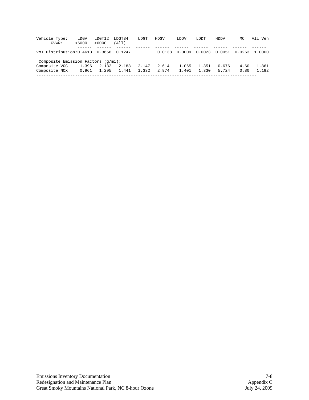| Vehicle Type:<br>GVWR:                      | LDGV<br><6000 | LDGT12<br>>6000 | LDGT34<br>(A11) | LDGT  | <b>HDGV</b> | LDDV   | LDDT   | HDDV   | MC     | All Veh |
|---------------------------------------------|---------------|-----------------|-----------------|-------|-------------|--------|--------|--------|--------|---------|
| VMT Distribution: 0.4613 0.3656 0.1247      |               |                 |                 |       | 0.0138      | 0.0009 | 0.0023 | 0.0051 | 0.0263 | 1.0000  |
| Composite Emission Factors $(q/\text{mi}):$ |               |                 |                 |       |             |        |        |        |        |         |
| Composite VOC:                              | 1.396         | 2.132           | 2.188           | 2.147 | 2.614       | 1.065  | 1.351  | 0.676  | 4.60   | 1.861   |
| Composite NOX:                              | 0.961         | 1.295           | 1.441           | 1.332 | 2.974       | 1.401  | 1.330  | 5.724  | 0.80   | 1.192   |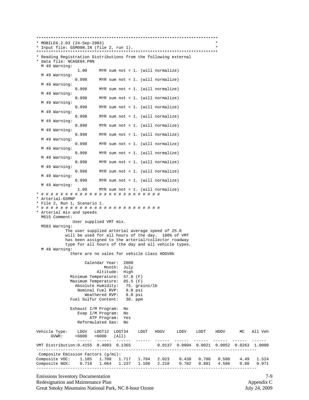\*\*\*\*\*\*\*\*\*\*\*\*\*\*\*\*\*\*\*\*\*\*\*\*\*\*\*\*\*\*\*\*\*\*\*\*\*\*\*\*\*\*\*\*\*\*\*\*\*\*\*\*\*\*\*\*\*\*\*\*\*\*\*\*\*\*\*\*\*\*\*\*\*\*\* \* MOBILE6.2.03 (24-Sep-2003) \* \* Input file: GSM08N.IN (file 2, run 1). \* \*\*\*\*\*\*\*\*\*\*\*\*\*\*\*\*\*\*\*\*\*\*\*\*\*\*\*\*\*\*\*\*\*\*\*\*\*\*\*\*\*\*\*\*\*\*\*\*\*\*\*\*\*\*\*\*\*\*\*\*\*\*\*\*\*\*\*\*\*\*\*\*\*\*\* \* Reading Registration Distributions from the following external \* data file: NCAGE04.PRN M 49 Warning: 1.00 MYR sum not = 1. (will normalize) M 49 Warning: MYR sum not = 1. (will normalize) M 49 Warning: MYR sum not = 1. (will normalize) M 49 Warning: MYR sum not = 1. (will normalize) M 49 Warning: MYR sum not = 1. (will normalize) M 49 Warning: MYR sum not = 1. (will normalize) M 49 Warning: MYR sum not = 1. (will normalize) M 49 Warning: 0.998 MYR sum not = 1. (will normalize) M 49 Warning: MYR sum not = 1. (will normalize) M 49 Warning: MYR sum not = 1. (will normalize) M 49 Warning: 0.998 MYR sum not = 1. (will normalize) M 49 Warning: MYR sum not = 1. (will normalize) M 49 Warning: MYR sum not = 1. (will normalize) M 49 Warning: 1.00 MYR sum not = 1. (will normalize) \* # # # # # # # # # # # # # # # # # # # # # # # # # \* Arterial-GSMNP \* File 2, Run 1, Scenario 1. \* # # # # # # # # # # # # # # # # # # # # # # # # # \* Arterial mix and speeds M615 Comment: User supplied VMT mix. M583 Warning: The user supplied arterial average speed of 25.0 will be used for all hours of the day. 100% of VMT has been assigned to the arterial/collector roadway type for all hours of the day and all vehicle types. M 48 Warning: there are no sales for vehicle class HDGV8b Calendar Year: 2008 Month: July Altitude: High Minimum Temperature: 57.8 (F) Maximum Temperature: 85.5 (F) Absolute Humidity: 75. grains/lb Nominal Fuel RVP: 9.0 psi Weathered RVP: 8.8 psi Fuel Sulfur Content: 30. ppm Exhaust I/M Program: No Evap I/M Program: No ATP Program: Yes Reformulated Gas: No Vehicle Type: LDGV LDGT12 LDGT34 LDGT HDGV LDDV LDDT HDDV MC All Veh  $<$ 6000  $>$ 6000 (All) ------ ------ ------ ------ ------ ------ ------ ------ ------ ------ 0.0137 0.0004 0.0021 0.0052 0.0263 1.0000 ------------------------------------------------------------------------------------------- Composite Emission Factors (g/mi): Composite VOC: 1.105 1.700 1.717 1.704 2.023 0.438 0.708 0.580 4.49 1.524 Composite NOX: 0.718 1.064 1.237 1.108 2.218 0.782 0.881 4.586 0.80 0.971 -------------------------------------------------------------------------------------------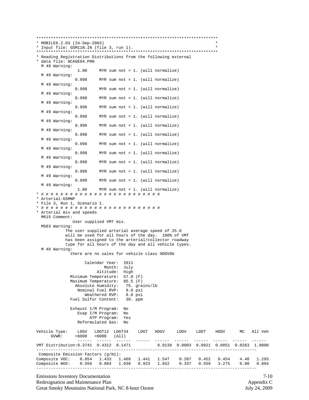\*\*\*\*\*\*\*\*\*\*\*\*\*\*\*\*\*\*\*\*\*\*\*\*\*\*\*\*\*\*\*\*\*\*\*\*\*\*\*\*\*\*\*\*\*\*\*\*\*\*\*\*\*\*\*\*\*\*\*\*\*\*\*\*\*\*\*\*\*\*\*\*\*\*\* \* MOBILE6.2.03 (24-Sep-2003) \* \* Input file: GSM11N.IN (file 3, run 1). \* \*\*\*\*\*\*\*\*\*\*\*\*\*\*\*\*\*\*\*\*\*\*\*\*\*\*\*\*\*\*\*\*\*\*\*\*\*\*\*\*\*\*\*\*\*\*\*\*\*\*\*\*\*\*\*\*\*\*\*\*\*\*\*\*\*\*\*\*\*\*\*\*\*\*\* \* Reading Registration Distributions from the following external \* data file: NCAGE04.PRN M 49 Warning: 1.00 MYR sum not = 1. (will normalize) M 49 Warning: MYR sum not = 1. (will normalize) M 49 Warning: MYR sum not = 1. (will normalize) M 49 Warning: MYR sum not = 1. (will normalize) M 49 Warning: MYR sum not = 1. (will normalize) M 49 Warning: MYR sum not = 1. (will normalize) M 49 Warning: MYR sum not = 1. (will normalize) M 49 Warning: 0.998 MYR sum not = 1. (will normalize) M 49 Warning: MYR sum not = 1. (will normalize) M 49 Warning: MYR sum not = 1. (will normalize) M 49 Warning: 0.998 MYR sum not = 1. (will normalize) M 49 Warning: MYR sum not = 1. (will normalize) M 49 Warning: MYR sum not = 1. (will normalize) M 49 Warning: 1.00 MYR sum not = 1. (will normalize) \* # # # # # # # # # # # # # # # # # # # # # # # # # \* Arterial-GSMNP \* File 3, Run 1, Scenario 1. \* # # # # # # # # # # # # # # # # # # # # # # # # # \* Arterial mix and speeds M615 Comment: User supplied VMT mix. M583 Warning: The user supplied arterial average speed of 25.0 will be used for all hours of the day. 100% of VMT has been assigned to the arterial/collector roadway type for all hours of the day and all vehicle types. M 48 Warning: there are no sales for vehicle class HDGV8b Calendar Year: 2011 Month: July Altitude: High Minimum Temperature: 57.8 (F) Maximum Temperature: 85.5 (F) Absolute Humidity: 75. grains/lb Nominal Fuel RVP: 9.0 psi Weathered RVP: 8.8 psi Fuel Sulfur Content: 30. ppm Exhaust I/M Program: No Evap I/M Program: No ATP Program: Yes Reformulated Gas: No Vehicle Type: LDGV LDGT12 LDGT34 LDGT HDGV LDDV LDDT HDDV MC All Veh  $<$ 6000  $>$ 6000 (All) ------ ------ ------ ------ ------ ------ ------ ------ ------ ------ 0.0138 0.0003 0.0021 0.0051 0.0263 1.0000 ------------------------------------------------------------------------------------------- Composite Emission Factors (g/mi): Composite VOC: 0.854 1.433 1.466 1.441 1.547 0.207 0.452 0.454 4.40 1.293 Composite NOX: 0.556 0.884 1.038 0.923 1.652 0.337 0.559 3.275 0.80 0.804 -------------------------------------------------------------------------------------------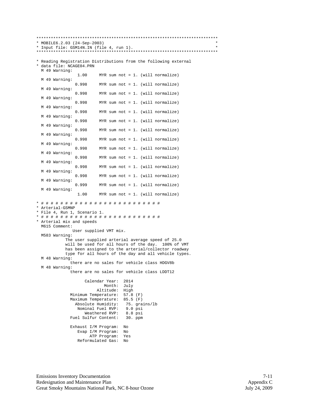\*\*\*\*\*\*\*\*\*\*\*\*\*\*\*\*\*\*\*\*\*\*\*\*\*\*\*\*\*\*\*\*\*\*\*\*\*\*\*\*\*\*\*\*\*\*\*\*\*\*\*\*\*\*\*\*\*\*\*\*\*\*\*\*\*\*\*\*\*\*\*\*\*\*\* \* MOBILE6.2.03 (24-Sep-2003) \* \* Input file: GSM14N.IN (file 4, run 1). \* \*\*\*\*\*\*\*\*\*\*\*\*\*\*\*\*\*\*\*\*\*\*\*\*\*\*\*\*\*\*\*\*\*\*\*\*\*\*\*\*\*\*\*\*\*\*\*\*\*\*\*\*\*\*\*\*\*\*\*\*\*\*\*\*\*\*\*\*\*\*\*\*\*\*\* \* Reading Registration Distributions from the following external \* data file: NCAGE04.PRN M 49 Warning: 1.00 MYR sum not = 1. (will normalize) M 49 Warning: MYR sum not = 1. (will normalize) M 49 Warning: 0.998 MYR sum not = 1. (will normalize) M 49 Warning: MYR sum not = 1. (will normalize) M 49 Warning: MYR sum not = 1. (will normalize) M 49 Warning: 0.998 MYR sum not = 1. (will normalize) M 49 Warning: 0.998 MYR sum not = 1. (will normalize) M 49 Warning: MYR sum not = 1. (will normalize) M 49 Warning: MYR sum not = 1. (will normalize) M 49 Warning: MYR sum not = 1. (will normalize) M 49 Warning: MYR sum not = 1. (will normalize) M 49 Warning: MYR sum not = 1. (will normalize) M 49 Warning: 0.999 MYR sum not = 1. (will normalize) M 49 Warning: 1.00 MYR sum not = 1. (will normalize) \* # # # # # # # # # # # # # # # # # # # # # # # # # \* Arterial-GSMNP \* File 4, Run 1, Scenario 1. \* # # # # # # # # # # # # # # # # # # # # # # # # # \* Arterial mix and speeds M615 Comment: User supplied VMT mix. M583 Warning: The user supplied arterial average speed of 25.0 will be used for all hours of the day. 100% of VMT has been assigned to the arterial/collector roadway type for all hours of the day and all vehicle types. M 48 Warning: there are no sales for vehicle class HDGV8b M 48 Warning: there are no sales for vehicle class LDDT12 Calendar Year: 2014 Month: July Altitude: High Minimum Temperature: 57.8 (F) Maximum Temperature: 85.5 (F) Absolute Humidity: 75. grains/lb<br>Nominal Fuel RVP: 9.0 psi Nominal Fuel RVP: 9.0 psi<br>Weathered RVP: 8.8 psi Weathered RVP: 8.8 psi<br>Sulfur Content: 30. ppm Fuel Sulfur Content: Exhaust I/M Program: No Evap I/M Program: No ATP Program: Yes Reformulated Gas: No

Emissions Inventory Documentation 7-11 Redesignation and Maintenance Plan Appendix C Great Smoky Mountains National Park, NC 8-hour Ozone July 24, 2009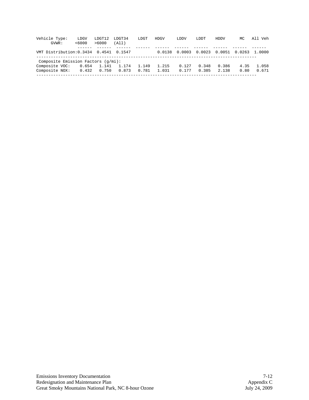| Vehicle Type:<br>GVWR:                      | LDGV<br><6000 | LDGT12<br>>6000 | LDGT34<br>(A11) | LDGT  | <b>HDGV</b> | LDDV   | LDDT   | HDDV   | MC     | All Veh |
|---------------------------------------------|---------------|-----------------|-----------------|-------|-------------|--------|--------|--------|--------|---------|
| VMT Distribution: 0.3434 0.4541 0.1547      |               |                 |                 |       | 0.0138      | 0.0003 | 0.0023 | 0.0051 | 0.0263 | 1.0000  |
| Composite Emission Factors $(q/\text{mi}):$ |               |                 |                 |       |             |        |        |        |        |         |
| Composite VOC:                              | 0.654         | 1.141           | 1.174           | 1.149 | 1.215       | 0.127  | 0.348  | 0.386  | 4.35   | 1.058   |
| Composite NOX:                              | 0.432         | 0.750           | 0.873           | 0.781 | 1.031       | 0.177  | 0.385  | 2.138  | 0.80   | 0.671   |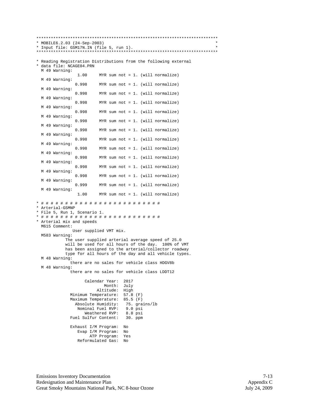\*\*\*\*\*\*\*\*\*\*\*\*\*\*\*\*\*\*\*\*\*\*\*\*\*\*\*\*\*\*\*\*\*\*\*\*\*\*\*\*\*\*\*\*\*\*\*\*\*\*\*\*\*\*\*\*\*\*\*\*\*\*\*\*\*\*\*\*\*\*\*\*\*\*\* \* MOBILE6.2.03 (24-Sep-2003) \* \* Input file: GSM17N.IN (file 5, run 1). \* \*\*\*\*\*\*\*\*\*\*\*\*\*\*\*\*\*\*\*\*\*\*\*\*\*\*\*\*\*\*\*\*\*\*\*\*\*\*\*\*\*\*\*\*\*\*\*\*\*\*\*\*\*\*\*\*\*\*\*\*\*\*\*\*\*\*\*\*\*\*\*\*\*\*\* \* Reading Registration Distributions from the following external \* data file: NCAGE04.PRN M 49 Warning: 1.00 MYR sum not = 1. (will normalize) M 49 Warning: MYR sum not = 1. (will normalize) M 49 Warning: 0.998 MYR sum not = 1. (will normalize) M 49 Warning: MYR sum not = 1. (will normalize) M 49 Warning: MYR sum not = 1. (will normalize) M 49 Warning: 0.998 MYR sum not = 1. (will normalize) M 49 Warning: 0.998 MYR sum not = 1. (will normalize) M 49 Warning: MYR sum not = 1. (will normalize) M 49 Warning: MYR sum not = 1. (will normalize) M 49 Warning: MYR sum not = 1. (will normalize) M 49 Warning: MYR sum not = 1. (will normalize) M 49 Warning: MYR sum not = 1. (will normalize) M 49 Warning: 0.999 MYR sum not = 1. (will normalize) M 49 Warning: 1.00 MYR sum not = 1. (will normalize) \* # # # # # # # # # # # # # # # # # # # # # # # # # \* Arterial-GSMNP \* File 5, Run 1, Scenario 1. \* # # # # # # # # # # # # # # # # # # # # # # # # # \* Arterial mix and speeds M615 Comment: User supplied VMT mix. M583 Warning: The user supplied arterial average speed of 25.0 will be used for all hours of the day. 100% of VMT has been assigned to the arterial/collector roadway type for all hours of the day and all vehicle types. M 48 Warning: there are no sales for vehicle class HDGV8b M 48 Warning: there are no sales for vehicle class LDDT12 Calendar Year: 2017 Month: July Altitude: High Minimum Temperature: 57.8 (F) Maximum Temperature: 85.5 (F) Absolute Humidity: 75. grains/lb<br>Nominal Fuel RVP: 9.0 psi Nominal Fuel RVP: 9.0 psi<br>Weathered RVP: 8.8 psi Weathered RVP: 8.8 psi<br>Sulfur Content: 30. ppm Fuel Sulfur Content: Exhaust I/M Program: No Evap I/M Program: No ATP Program: Yes Reformulated Gas: No

Emissions Inventory Documentation 7-13 Redesignation and Maintenance Plan Appendix C Great Smoky Mountains National Park, NC 8-hour Ozone July 24, 2009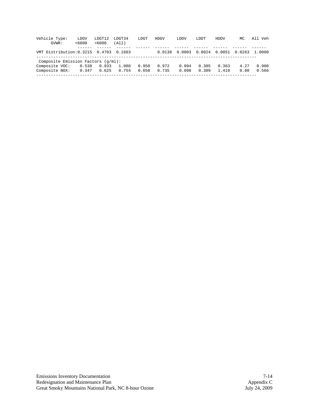| Vehicle Type:<br>GVWR:                 | LDGV<br><6000 | LDGT12<br>>6000 | LDGT34<br>(All) | LDGT  | HDGV   | LDDV   | LDDT   | HDDV   | МC     | All Veh |
|----------------------------------------|---------------|-----------------|-----------------|-------|--------|--------|--------|--------|--------|---------|
| VMT Distribution: 0.3215 0.4703 0.1603 |               |                 |                 |       | 0.0138 | 0.0003 | 0.0024 | 0.0051 | 0.0263 | 1.0000  |
| Composite Emission Factors (g/mi):     |               |                 |                 |       |        |        |        |        |        |         |
| Composite VOC:                         | 0.538         | 0.933           | 1.000           | 0.950 | 0.972  | 0.094  | 0.305  | 0.363  | 4.27   | 0.900   |
| Composite NOX:                         | 0.347         | 0.625           | 0.754           | 0.658 | 0.735  | 0.098  | 0.309  | 1.419  | 0.80   | 0.566   |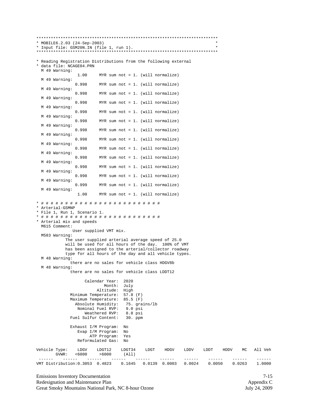| * MOBILE6.2.03 (24-Sep-2003)<br>* Input file: GSM20N.IN (file 1, run 1).                                                                                                                                                               |                                                         |                                                                                     |               |                             |                                      | $\star$ |      |        |         |
|----------------------------------------------------------------------------------------------------------------------------------------------------------------------------------------------------------------------------------------|---------------------------------------------------------|-------------------------------------------------------------------------------------|---------------|-----------------------------|--------------------------------------|---------|------|--------|---------|
|                                                                                                                                                                                                                                        |                                                         |                                                                                     |               |                             |                                      |         |      |        |         |
| * Reading Registration Distributions from the following external<br>* data file: NCAGE04.PRN                                                                                                                                           |                                                         |                                                                                     |               |                             |                                      |         |      |        |         |
| M 49 Warning:<br>1.00                                                                                                                                                                                                                  | MYR sum not = $1.$ (will normalize)                     |                                                                                     |               |                             |                                      |         |      |        |         |
| M 49 Warning:<br>0.998<br>M 49 Warning:                                                                                                                                                                                                | MYR sum not = $1.$ (will normalize)                     |                                                                                     |               |                             |                                      |         |      |        |         |
| 0.998                                                                                                                                                                                                                                  | MYR sum not = $1.$ (will normalize)                     |                                                                                     |               |                             |                                      |         |      |        |         |
| M 49 Warning:<br>0.998                                                                                                                                                                                                                 | MYR sum not = $1.$ (will normalize)                     |                                                                                     |               |                             |                                      |         |      |        |         |
| M 49 Warning:<br>0.998                                                                                                                                                                                                                 | MYR sum not = $1.$ (will normalize)                     |                                                                                     |               |                             |                                      |         |      |        |         |
| M 49 Warning:<br>0.998                                                                                                                                                                                                                 | MYR sum not = $1.$ (will normalize)                     |                                                                                     |               |                             |                                      |         |      |        |         |
| M 49 Warning:<br>0.998                                                                                                                                                                                                                 | MYR sum not = $1.$ (will normalize)                     |                                                                                     |               |                             |                                      |         |      |        |         |
| M 49 Warning:<br>0.998                                                                                                                                                                                                                 | MYR sum not = $1.$ (will normalize)                     |                                                                                     |               |                             |                                      |         |      |        |         |
| M 49 Warning:<br>0.998                                                                                                                                                                                                                 | MYR sum not = $1.$ (will normalize)                     |                                                                                     |               |                             |                                      |         |      |        |         |
| M 49 Warning:<br>0.998<br>M 49 Warning:                                                                                                                                                                                                | MYR sum not = $1.$ (will normalize)                     |                                                                                     |               |                             |                                      |         |      |        |         |
| 0.998<br>M 49 Warning:                                                                                                                                                                                                                 | MYR sum not = $1.$ (will normalize)                     |                                                                                     |               |                             |                                      |         |      |        |         |
| 0.998<br>M 49 Warning:                                                                                                                                                                                                                 | MYR sum not = $1.$ (will normalize)                     |                                                                                     |               |                             |                                      |         |      |        |         |
| 0.999<br>M 49 Warning:                                                                                                                                                                                                                 | MYR sum not = $1.$ (will normalize)                     |                                                                                     |               |                             |                                      |         |      |        |         |
| 1.00                                                                                                                                                                                                                                   | MYR sum not = $1.$ (will normalize)                     |                                                                                     |               |                             |                                      |         |      |        |         |
| * Arterial-GSMNP<br>* File 1, Run 1, Scenario 1.<br>* Arterial mix and speeds<br>M615 Comment:                                                                                                                                         |                                                         |                                                                                     |               |                             |                                      |         |      |        |         |
| User supplied VMT mix.<br>M583 Warning:                                                                                                                                                                                                |                                                         |                                                                                     |               |                             |                                      |         |      |        |         |
| The user supplied arterial average speed of 25.0<br>will be used for all hours of the day. 100% of VMT<br>has been assigned to the arterial/collector roadway<br>type for all hours of the day and all vehicle types.<br>M 48 Warning: |                                                         |                                                                                     |               |                             |                                      |         |      |        |         |
| there are no sales for vehicle class HDGV8b<br>M 48 Warning:                                                                                                                                                                           |                                                         |                                                                                     |               |                             |                                      |         |      |        |         |
| there are no sales for vehicle class LDDT12                                                                                                                                                                                            |                                                         |                                                                                     |               |                             |                                      |         |      |        |         |
| Minimum Temperature:<br>Maximum Temperature:<br>Absolute Humidity:<br>Nominal Fuel RVP:<br>Fuel Sulfur Content:                                                                                                                        | Calendar Year:<br>Month:<br>Altitude:<br>Weathered RVP: | 2020<br>July<br>High<br>$57.8$ (F)<br>$85.5$ (F)<br>$9.0$ psi<br>8.8 psi<br>30. ppm | 75. grains/lb |                             |                                      |         |      |        |         |
| Exhaust I/M Program:<br>Evap I/M Program:<br>Reformulated Gas:                                                                                                                                                                         | ATP Program:                                            | No<br>No<br>Yes<br>No                                                               |               |                             |                                      |         |      |        |         |
| Vehicle Type:<br>LDGV<br><6000<br>GVWR:                                                                                                                                                                                                | LDGT12<br>>6000                                         | LDGT34<br>(All)                                                                     | LDGT          | HDGV                        | LDDV                                 | LDDT    | HDDV | МC     | All Veh |
| ------<br>------<br>VMT Distribution: 0.3053 0.4823                                                                                                                                                                                    | $\cdots\cdots\cdots\cdots$                              | 0.1645                                                                              | $- -$         | ------<br>$0.0139$ $0.0003$ | $\cdots\cdots\cdots\cdots$<br>0.0024 | 0.0050  |      | 0.0263 | 1.0000  |

Emissions Inventory Documentation 7-15<br>
Redesignation and Maintenance Plan Appendix C<br>
Great Smoky Mountains National Park, NC 8-hour Ozone 5 July 24, 2009 Redesignation and Maintenance Plan Appendix C and Appendix C and Appendix C and Appendix C Great Smoky Mountains National Park, NC 8-hour Ozone July 24, 2009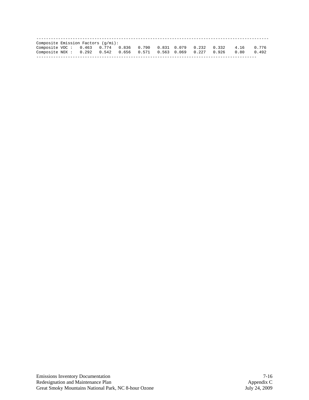| Composite Emission Factors $(q/\text{mi}):$                    |  |  |  |  |  |      |       |
|----------------------------------------------------------------|--|--|--|--|--|------|-------|
| Composite VOC: 0.463 0.774 0.836 0.790 0.831 0.079 0.232 0.332 |  |  |  |  |  | 4.16 | 0.776 |
| Composite NOX: 0.292 0.542 0.656 0.571 0.563 0.069 0.227 0.926 |  |  |  |  |  | 0.80 | 0.492 |
|                                                                |  |  |  |  |  |      |       |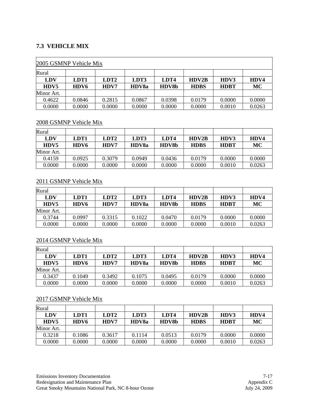## **7.3 VEHICLE MIX**

| 2005 GSMNP Vehicle Mix |                  |                  |        |        |             |             |           |  |  |  |
|------------------------|------------------|------------------|--------|--------|-------------|-------------|-----------|--|--|--|
| Rural                  |                  |                  |        |        |             |             |           |  |  |  |
| <b>LDV</b>             | LDT1             | LDT <sub>2</sub> | LDT3   | LDT4   | HDV2B       | HDV3        | HDV4      |  |  |  |
| HDV5                   | HDV <sub>6</sub> | HDV7             | HDV8a  | HDV8b  | <b>HDBS</b> | <b>HDBT</b> | <b>MC</b> |  |  |  |
| Minor Art.             |                  |                  |        |        |             |             |           |  |  |  |
| 0.4622                 | 0.0846           | 0.2815           | 0.0867 | 0.0398 | 0.0179      | 0.0000      | 0.0000    |  |  |  |
| 0.0000                 | 0.0000           | 0.0000           | 0.0000 | 0.0000 | 0.0000      | 0.0010      | 0.0263    |  |  |  |

#### 2008 GSMNP Vehicle Mix

| Rural      |        |                  |              |              |              |             |        |
|------------|--------|------------------|--------------|--------------|--------------|-------------|--------|
| LDV        | LDT1   | LDT <sub>2</sub> | LDT3         | LDT4         | <b>HDV2B</b> | HDV3        | HDV4   |
| HDV5       | HDV6   | <b>HDV7</b>      | <b>HDV8a</b> | <b>HDV8b</b> | <b>HDBS</b>  | <b>HDBT</b> | MC     |
| Minor Art. |        |                  |              |              |              |             |        |
| 0.4159     | 0.0925 | 0.3079           | 0.0949       | 0.0436       | 0.0179       | 0.0000      | 0.0000 |
| 0.0000     | 0.0000 | 0.0000           | 0.0000       | 0.0000       | 0.0000       | 0.0010      | 0.0263 |

#### 2011 GSMNP Vehicle Mix

| Rural            |        |                  |              |              |              |             |        |
|------------------|--------|------------------|--------------|--------------|--------------|-------------|--------|
| LDV              | LDT1   | LDT <sub>2</sub> | LDT3         | LDT4         | <b>HDV2B</b> | HDV3        | HDV4   |
| H <sub>DV5</sub> | HDV6   | <b>HDV7</b>      | <b>HDV8a</b> | <b>HDV8b</b> | <b>HDBS</b>  | <b>HDBT</b> | MC     |
| Minor Art.       |        |                  |              |              |              |             |        |
| 0.3744           | 0.0997 | 0.3315           | 0.1022       | 0.0470       | 0.0179       | 0.0000      | 0.0000 |
| 0.0000           | 0.0000 | 0.0000           | 0.0000       | 0.0000       | 0.0000       | 0.0010      | 0.0263 |

## 2014 GSMNP Vehicle Mix

| Rural      |        |                  |              |              |              |             |        |
|------------|--------|------------------|--------------|--------------|--------------|-------------|--------|
| LDV        | LDT1   | LDT <sub>2</sub> | LDT3         | LDT4         | <b>HDV2B</b> | HDV3        | HDV4   |
| HDV5       | HDV6   | <b>HDV7</b>      | <b>HDV8a</b> | <b>HDV8b</b> | <b>HDBS</b>  | <b>HDBT</b> | MC     |
| Minor Art. |        |                  |              |              |              |             |        |
| 0.3437     | 0.1049 | 0.3492           | 0.1075       | 0.0495       | 0.0179       | 0.0000      | 0.0000 |
| 0.0000     | 0.0000 | 0.0000           | 0.0000       | 0.0000       | 0.0000       | 0.0010      | 0.0263 |

#### 2017 GSMNP Vehicle Mix

| Rural      |        |                  |        |              |              |             |        |
|------------|--------|------------------|--------|--------------|--------------|-------------|--------|
| LDV        | LDT1   | LDT <sub>2</sub> | LDT3   | LDT4         | <b>HDV2B</b> | HDV3        | HDV4   |
| HDV5       | HDV6   | <b>HDV7</b>      | HDV8a  | <b>HDV8b</b> | <b>HDBS</b>  | <b>HDBT</b> | MC     |
| Minor Art. |        |                  |        |              |              |             |        |
| 0.3218     | 0.1086 | 0.3617           | 0.1114 | 0.0513       | 0.0179       | 0.0000      | 0.0000 |
| 0.0000     | 0.0000 | 0.0000           | 0.0000 | 0.0000       | 0.0000       | 0.0010      | 0.0263 |